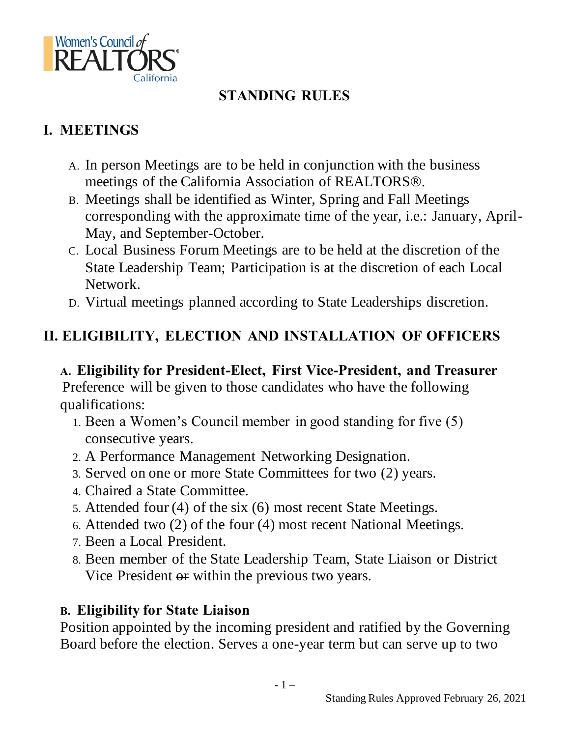

## **STANDING RULES**

### **I. MEETINGS**

- A. In person Meetings are to be held in conjunction with the business meetings of the California Association of REALTORS®.
- B. Meetings shall be identified as Winter, Spring and Fall Meetings corresponding with the approximate time of the year, i.e.: January, April-May, and September-October.
- C. Local Business Forum Meetings are to be held at the discretion of the State Leadership Team; Participation is at the discretion of each Local Network.
- D. Virtual meetings planned according to State Leaderships discretion.

# **II. ELIGIBILITY, ELECTION AND INSTALLATION OF OFFICERS**

### **A. Eligibility for President-Elect, First Vice-President, and Treasurer**

Preference will be given to those candidates who have the following qualifications:

- 1. Been a Women's Council member in good standing for five (5) consecutive years.
- 2. A Performance Management Networking Designation.
- 3. Served on one or more State Committees for two (2) years.
- 4. Chaired a State Committee.
- 5. Attended four (4) of the six (6) most recent State Meetings.
- 6. Attended two (2) of the four (4) most recent National Meetings.
- 7. Been a Local President.
- 8. Been member of the State Leadership Team, State Liaison or District Vice President or within the previous two years.

#### **B. Eligibility for State Liaison**

Position appointed by the incoming president and ratified by the Governing Board before the election. Serves a one-year term but can serve up to two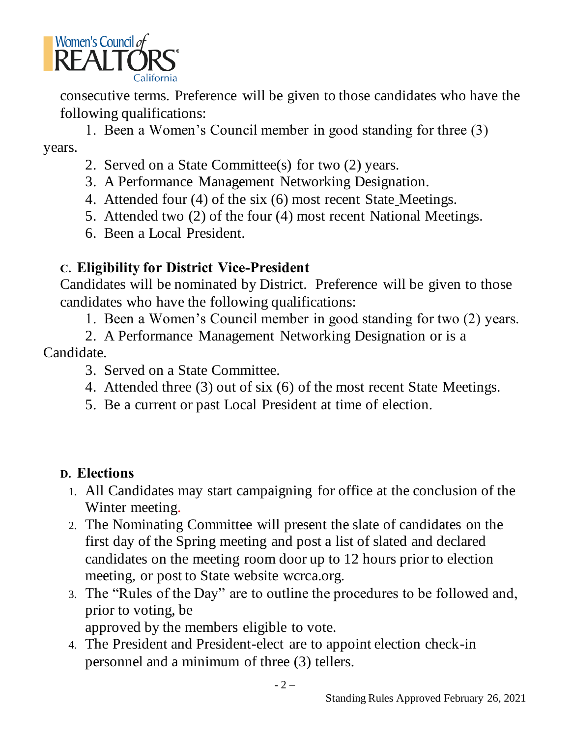

consecutive terms. Preference will be given to those candidates who have the following qualifications:

1. Been a Women's Council member in good standing for three (3) years.

- 2. Served on a State Committee(s) for two (2) years.
- 3. A Performance Management Networking Designation.
- 4. Attended four (4) of the six (6) most recent State Meetings.
- 5. Attended two (2) of the four (4) most recent National Meetings.
- 6. Been a Local President.

#### **C. Eligibility for District Vice-President**

Candidates will be nominated by District. Preference will be given to those candidates who have the following qualifications:

1. Been a Women's Council member in good standing for two (2) years.

2. A Performance Management Networking Designation or is a Candidate.

- 3. Served on a State Committee.
- 4. Attended three (3) out of six (6) of the most recent State Meetings.
- 5. Be a current or past Local President at time of election.

#### **D. Elections**

- 1. All Candidates may start campaigning for office at the conclusion of the Winter meeting.
- 2. The Nominating Committee will present the slate of candidates on the first day of the Spring meeting and post a list of slated and declared candidates on the meeting room door up to 12 hours prior to election meeting, or post to State website wcrca.org.
- 3. The "Rules of the Day" are to outline the procedures to be followed and, prior to voting, be

approved by the members eligible to vote.

4. The President and President-elect are to appoint election check-in personnel and a minimum of three (3) tellers.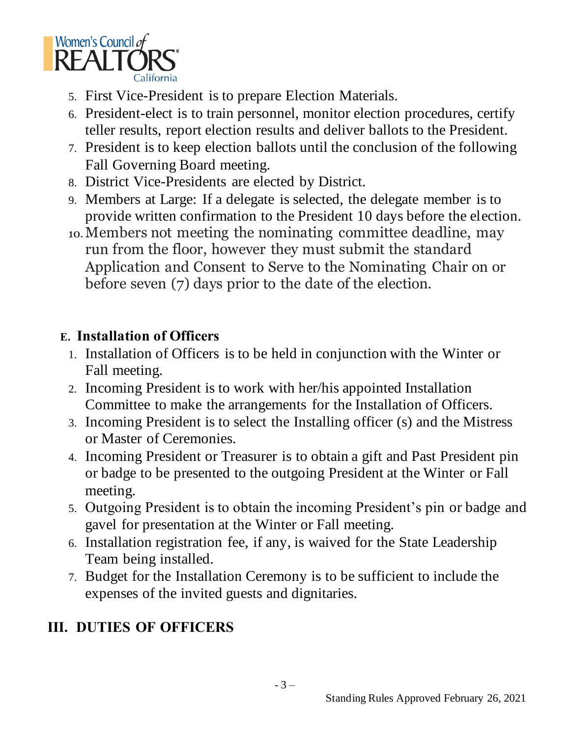

- 5. First Vice-President is to prepare Election Materials.
- 6. President-elect is to train personnel, monitor election procedures, certify teller results, report election results and deliver ballots to the President.
- 7. President is to keep election ballots until the conclusion of the following Fall Governing Board meeting.
- 8. District Vice-Presidents are elected by District.
- 9. Members at Large: If a delegate is selected, the delegate member is to provide written confirmation to the President 10 days before the election.
- 10.Members not meeting the nominating committee deadline, may run from the floor, however they must submit the standard Application and Consent to Serve to the Nominating Chair on or before seven (7) days prior to the date of the election.

### **E. Installation of Officers**

- 1. Installation of Officers is to be held in conjunction with the Winter or Fall meeting.
- 2. Incoming President is to work with her/his appointed Installation Committee to make the arrangements for the Installation of Officers.
- 3. Incoming President is to select the Installing officer (s) and the Mistress or Master of Ceremonies.
- 4. Incoming President or Treasurer is to obtain a gift and Past President pin or badge to be presented to the outgoing President at the Winter or Fall meeting.
- 5. Outgoing President is to obtain the incoming President's pin or badge and gavel for presentation at the Winter or Fall meeting.
- 6. Installation registration fee, if any, is waived for the State Leadership Team being installed.
- 7. Budget for the Installation Ceremony is to be sufficient to include the expenses of the invited guests and dignitaries.

# **III. DUTIES OF OFFICERS**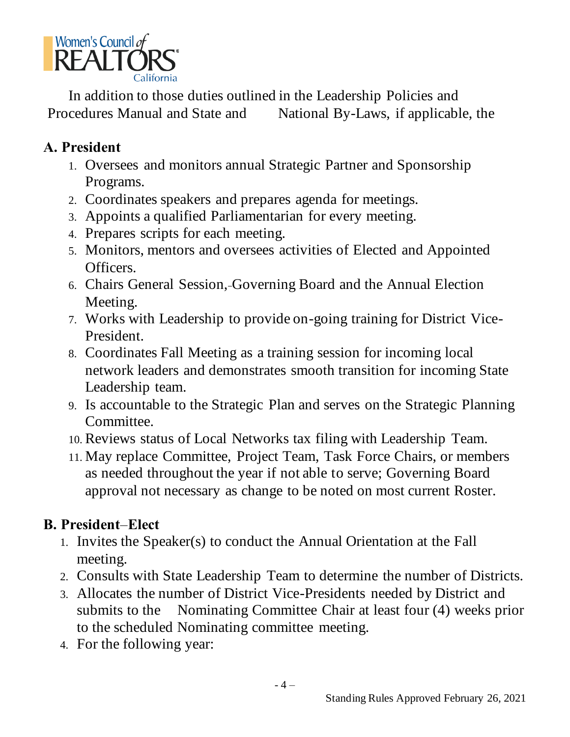

In addition to those duties outlined in the Leadership Policies and Procedures Manual and State and National By-Laws, if applicable, the

### **A. President**

- 1. Oversees and monitors annual Strategic Partner and Sponsorship Programs.
- 2. Coordinates speakers and prepares agenda for meetings.
- 3. Appoints a qualified Parliamentarian for every meeting.
- 4. Prepares scripts for each meeting.
- 5. Monitors, mentors and oversees activities of Elected and Appointed Officers.
- 6. Chairs General Session, Governing Board and the Annual Election Meeting.
- 7. Works with Leadership to provide on-going training for District Vice-President.
- 8. Coordinates Fall Meeting as a training session for incoming local network leaders and demonstrates smooth transition for incoming State Leadership team.
- 9. Is accountable to the Strategic Plan and serves on the Strategic Planning Committee.
- 10. Reviews status of Local Networks tax filing with Leadership Team.
- 11. May replace Committee, Project Team, Task Force Chairs, or members as needed throughout the year if not able to serve; Governing Board approval not necessary as change to be noted on most current Roster.

### **B. President**–**Elect**

- 1. Invites the Speaker(s) to conduct the Annual Orientation at the Fall meeting.
- 2. Consults with State Leadership Team to determine the number of Districts.
- 3. Allocates the number of District Vice-Presidents needed by District and submits to the Nominating Committee Chair at least four (4) weeks prior to the scheduled Nominating committee meeting.
- 4. For the following year: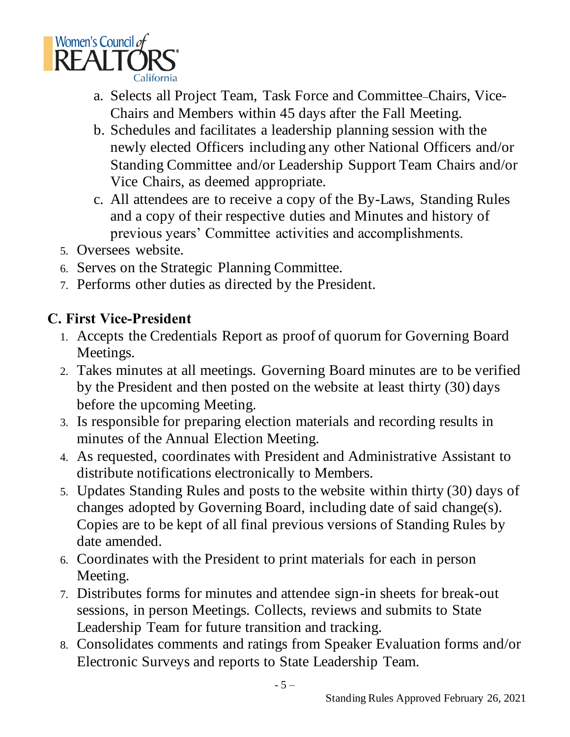

- a. Selects all Project Team, Task Force and Committee Chairs, Vice-Chairs and Members within 45 days after the Fall Meeting.
- b. Schedules and facilitates a leadership planning session with the newly elected Officers including any other National Officers and/or Standing Committee and/or Leadership Support Team Chairs and/or Vice Chairs, as deemed appropriate.
- c. All attendees are to receive a copy of the By-Laws, Standing Rules and a copy of their respective duties and Minutes and history of previous years' Committee activities and accomplishments.
- 5. Oversees website.
- 6. Serves on the Strategic Planning Committee.
- 7. Performs other duties as directed by the President.

### **C. First Vice-President**

- 1. Accepts the Credentials Report as proof of quorum for Governing Board Meetings.
- 2. Takes minutes at all meetings. Governing Board minutes are to be verified by the President and then posted on the website at least thirty (30) days before the upcoming Meeting.
- 3. Is responsible for preparing election materials and recording results in minutes of the Annual Election Meeting.
- 4. As requested, coordinates with President and Administrative Assistant to distribute notifications electronically to Members.
- 5. Updates Standing Rules and posts to the website within thirty (30) days of changes adopted by Governing Board, including date of said change(s). Copies are to be kept of all final previous versions of Standing Rules by date amended.
- 6. Coordinates with the President to print materials for each in person Meeting.
- 7. Distributes forms for minutes and attendee sign-in sheets for break-out sessions, in person Meetings. Collects, reviews and submits to State Leadership Team for future transition and tracking.
- 8. Consolidates comments and ratings from Speaker Evaluation forms and/or Electronic Surveys and reports to State Leadership Team.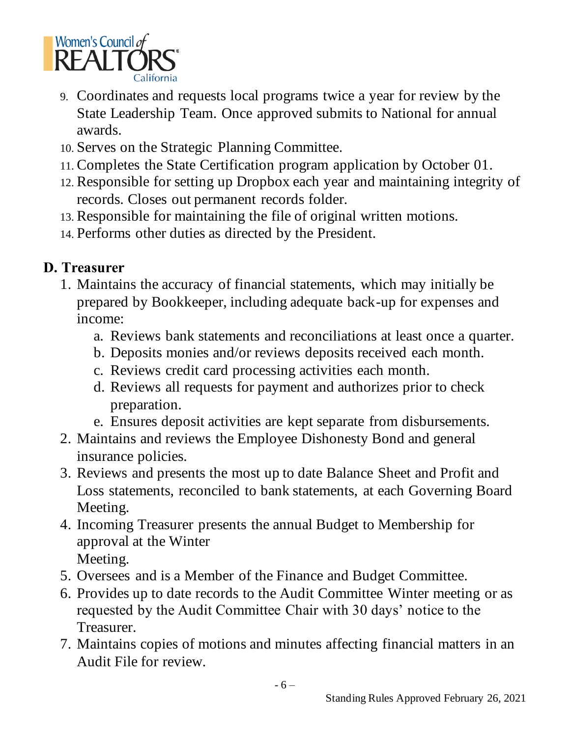

- 9. Coordinates and requests local programs twice a year for review by the State Leadership Team. Once approved submits to National for annual awards.
- 10. Serves on the Strategic Planning Committee.
- 11. Completes the State Certification program application by October 01.
- 12. Responsible for setting up Dropbox each year and maintaining integrity of records. Closes out permanent records folder.
- 13. Responsible for maintaining the file of original written motions.
- 14. Performs other duties as directed by the President.

### **D. Treasurer**

- 1. Maintains the accuracy of financial statements, which may initially be prepared by Bookkeeper, including adequate back-up for expenses and income:
	- a. Reviews bank statements and reconciliations at least once a quarter.
	- b. Deposits monies and/or reviews deposits received each month.
	- c. Reviews credit card processing activities each month.
	- d. Reviews all requests for payment and authorizes prior to check preparation.
	- e. Ensures deposit activities are kept separate from disbursements.
- 2. Maintains and reviews the Employee Dishonesty Bond and general insurance policies.
- 3. Reviews and presents the most up to date Balance Sheet and Profit and Loss statements, reconciled to bank statements, at each Governing Board Meeting.
- 4. Incoming Treasurer presents the annual Budget to Membership for approval at the Winter Meeting.
- 5. Oversees and is a Member of the Finance and Budget Committee.
- 6. Provides up to date records to the Audit Committee Winter meeting or as requested by the Audit Committee Chair with 30 days' notice to the Treasurer.
- 7. Maintains copies of motions and minutes affecting financial matters in an Audit File for review.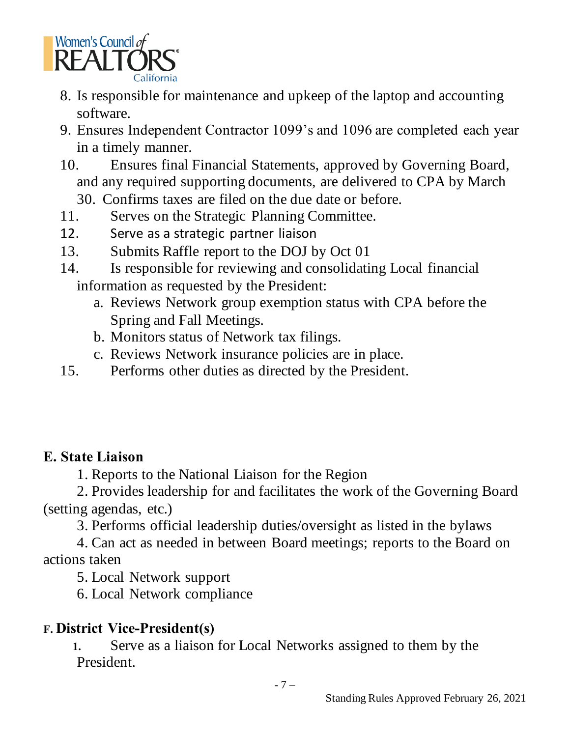

- 8. Is responsible for maintenance and upkeep of the laptop and accounting software.
- 9. Ensures Independent Contractor 1099's and 1096 are completed each year in a timely manner.
- 10. Ensures final Financial Statements, approved by Governing Board, and any required supporting documents, are delivered to CPA by March
	- 30. Confirms taxes are filed on the due date or before.
- 11. Serves on the Strategic Planning Committee.
- 12. Serve as a strategic partner liaison
- 13. Submits Raffle report to the DOJ by Oct 01
- 14. Is responsible for reviewing and consolidating Local financial information as requested by the President:
	- a. Reviews Network group exemption status with CPA before the Spring and Fall Meetings.
	- b. Monitors status of Network tax filings.
	- c. Reviews Network insurance policies are in place.
- 15. Performs other duties as directed by the President.

### **E. State Liaison**

1. Reports to the National Liaison for the Region

2. Provides leadership for and facilitates the work of the Governing Board (setting agendas, etc.)

3. Performs official leadership duties/oversight as listed in the bylaws

4. Can act as needed in between Board meetings; reports to the Board on actions taken

5. Local Network support

6. Local Network compliance

# **F. District Vice-President(s)**

**1.** Serve as a liaison for Local Networks assigned to them by the President.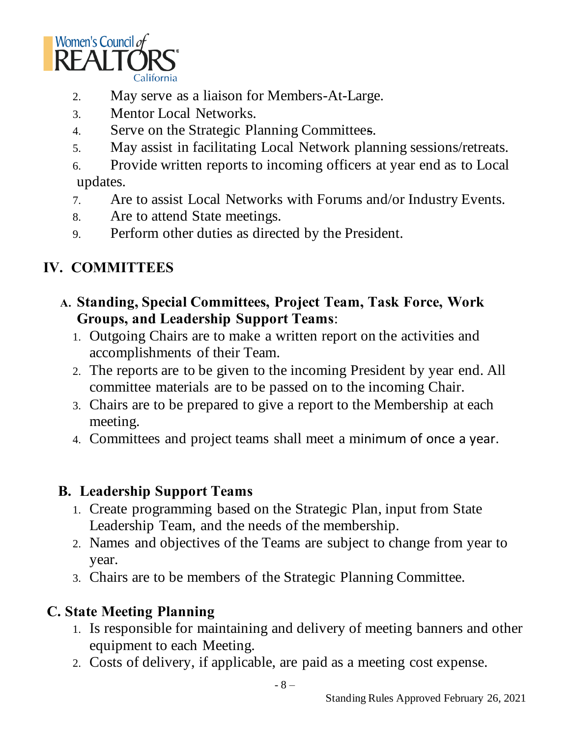

- 2. May serve as a liaison for Members-At-Large.
- 3. Mentor Local Networks.
- 4. Serve on the Strategic Planning Committees.
- 5. May assist in facilitating Local Network planning sessions/retreats.
- 6. Provide written reports to incoming officers at year end as to Local updates.
- 7. Are to assist Local Networks with Forums and/or Industry Events.
- 8. Are to attend State meetings.
- 9. Perform other duties as directed by the President.

## **IV. COMMITTEES**

- **A. Standing, Special Committees, Project Team, Task Force, Work Groups, and Leadership Support Teams**:
	- 1. Outgoing Chairs are to make a written report on the activities and accomplishments of their Team.
	- 2. The reports are to be given to the incoming President by year end. All committee materials are to be passed on to the incoming Chair.
	- 3. Chairs are to be prepared to give a report to the Membership at each meeting.
	- 4. Committees and project teams shall meet a minimum of once a year.

#### **B. Leadership Support Teams**

- 1. Create programming based on the Strategic Plan, input from State Leadership Team, and the needs of the membership.
- 2. Names and objectives of the Teams are subject to change from year to year.
- 3. Chairs are to be members of the Strategic Planning Committee.

#### **C. State Meeting Planning**

- 1. Is responsible for maintaining and delivery of meeting banners and other equipment to each Meeting.
- 2. Costs of delivery, if applicable, are paid as a meeting cost expense.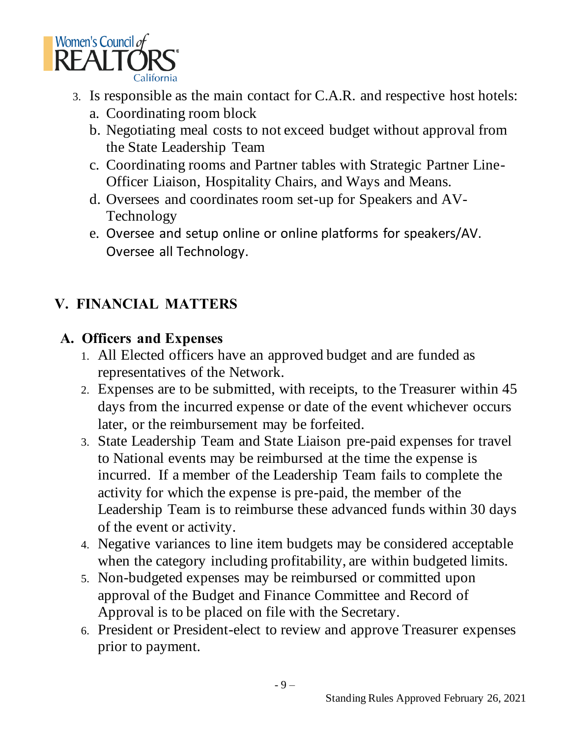

- 3. Is responsible as the main contact for C.A.R. and respective host hotels:
	- a. Coordinating room block
	- b. Negotiating meal costs to not exceed budget without approval from the State Leadership Team
	- c. Coordinating rooms and Partner tables with Strategic Partner Line-Officer Liaison, Hospitality Chairs, and Ways and Means.
	- d. Oversees and coordinates room set-up for Speakers and AV-Technology
	- e. Oversee and setup online or online platforms for speakers/AV. Oversee all Technology.

# **V. FINANCIAL MATTERS**

#### **A. Officers and Expenses**

- 1. All Elected officers have an approved budget and are funded as representatives of the Network.
- 2. Expenses are to be submitted, with receipts, to the Treasurer within 45 days from the incurred expense or date of the event whichever occurs later, or the reimbursement may be forfeited.
- 3. State Leadership Team and State Liaison pre-paid expenses for travel to National events may be reimbursed at the time the expense is incurred. If a member of the Leadership Team fails to complete the activity for which the expense is pre-paid, the member of the Leadership Team is to reimburse these advanced funds within 30 days of the event or activity.
- 4. Negative variances to line item budgets may be considered acceptable when the category including profitability, are within budgeted limits.
- 5. Non-budgeted expenses may be reimbursed or committed upon approval of the Budget and Finance Committee and Record of Approval is to be placed on file with the Secretary.
- 6. President or President-elect to review and approve Treasurer expenses prior to payment.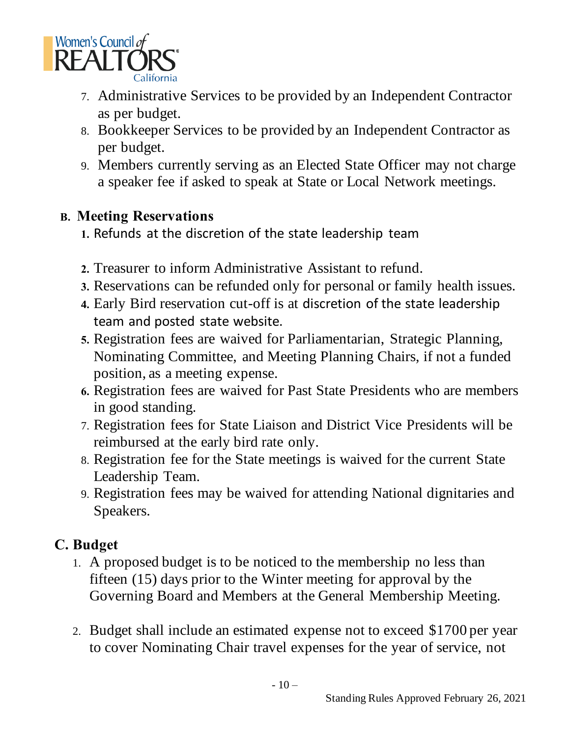

- 7. Administrative Services to be provided by an Independent Contractor as per budget.
- 8. Bookkeeper Services to be provided by an Independent Contractor as per budget.
- 9. Members currently serving as an Elected State Officer may not charge a speaker fee if asked to speak at State or Local Network meetings.

#### **B. Meeting Reservations**

- **1.** Refunds at the discretion of the state leadership team
- **2.** Treasurer to inform Administrative Assistant to refund.
- **3.** Reservations can be refunded only for personal or family health issues.
- **4.** Early Bird reservation cut-off is at discretion of the state leadership team and posted state website.
- **5.** Registration fees are waived for Parliamentarian, Strategic Planning, Nominating Committee, and Meeting Planning Chairs, if not a funded position, as a meeting expense.
- **6.** Registration fees are waived for Past State Presidents who are members in good standing.
- 7. Registration fees for State Liaison and District Vice Presidents will be reimbursed at the early bird rate only.
- 8. Registration fee for the State meetings is waived for the current State Leadership Team.
- 9. Registration fees may be waived for attending National dignitaries and Speakers.

### **C. Budget**

- 1. A proposed budget is to be noticed to the membership no less than fifteen (15) days prior to the Winter meeting for approval by the Governing Board and Members at the General Membership Meeting.
- 2. Budget shall include an estimated expense not to exceed \$1700 per year to cover Nominating Chair travel expenses for the year of service, not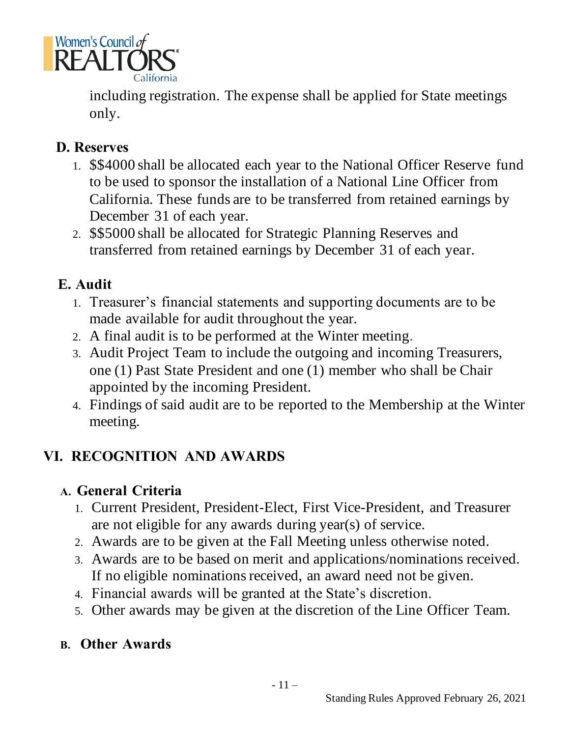

including registration. The expense shall be applied for State meetings only.

#### **D. Reserves**

- 1. \$\$4000 shall be allocated each year to the National Officer Reserve fund to be used to sponsor the installation of a National Line Officer from California. These funds are to be transferred from retained earnings by December 31 of each year.
- 2. \$\$5000 shall be allocated for Strategic Planning Reserves and transferred from retained earnings by December 31 of each year.

#### **E. Audit**

- 1. Treasurer's financial statements and supporting documents are to be made available for audit throughout the year.
- 2. A final audit is to be performed at the Winter meeting.
- 3. Audit Project Team to include the outgoing and incoming Treasurers, one (1) Past State President and one (1) member who shall be Chair appointed by the incoming President.
- 4. Findings of said audit are to be reported to the Membership at the Winter meeting.

# **VI. RECOGNITION AND AWARDS**

#### **A. General Criteria**

- 1. Current President, President-Elect, First Vice-President, and Treasurer are not eligible for any awards during year(s) of service.
- 2. Awards are to be given at the Fall Meeting unless otherwise noted.
- 3. Awards are to be based on merit and applications/nominations received. If no eligible nominations received, an award need not be given.
- 4. Financial awards will be granted at the State's discretion.
- 5. Other awards may be given at the discretion of the Line Officer Team.

#### **B. Other Awards**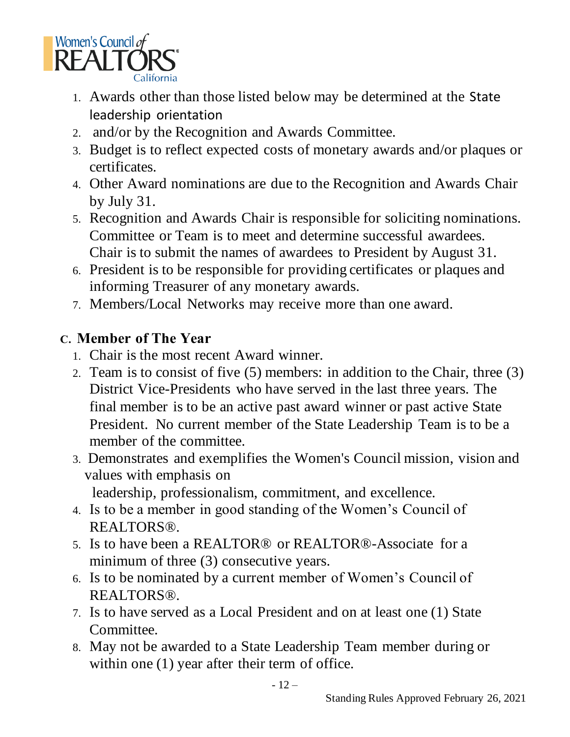

- 1. Awards other than those listed below may be determined at the State leadership orientation
- 2. and/or by the Recognition and Awards Committee.
- 3. Budget is to reflect expected costs of monetary awards and/or plaques or certificates.
- 4. Other Award nominations are due to the Recognition and Awards Chair by July 31.
- 5. Recognition and Awards Chair is responsible for soliciting nominations. Committee or Team is to meet and determine successful awardees. Chair is to submit the names of awardees to President by August 31.
- 6. President is to be responsible for providing certificates or plaques and informing Treasurer of any monetary awards.
- 7. Members/Local Networks may receive more than one award.

#### **C. Member of The Year**

- 1. Chair is the most recent Award winner.
- 2. Team is to consist of five (5) members: in addition to the Chair, three (3) District Vice-Presidents who have served in the last three years. The final member is to be an active past award winner or past active State President. No current member of the State Leadership Team is to be a member of the committee.
- 3. Demonstrates and exemplifies the Women's Council mission, vision and values with emphasis on

leadership, professionalism, commitment, and excellence.

- 4. Is to be a member in good standing of the Women's Council of REALTORS®.
- 5. Is to have been a REALTOR® or REALTOR®-Associate for a minimum of three (3) consecutive years.
- 6. Is to be nominated by a current member of Women's Council of REALTORS®.
- 7. Is to have served as a Local President and on at least one (1) State Committee.
- 8. May not be awarded to a State Leadership Team member during or within one (1) year after their term of office.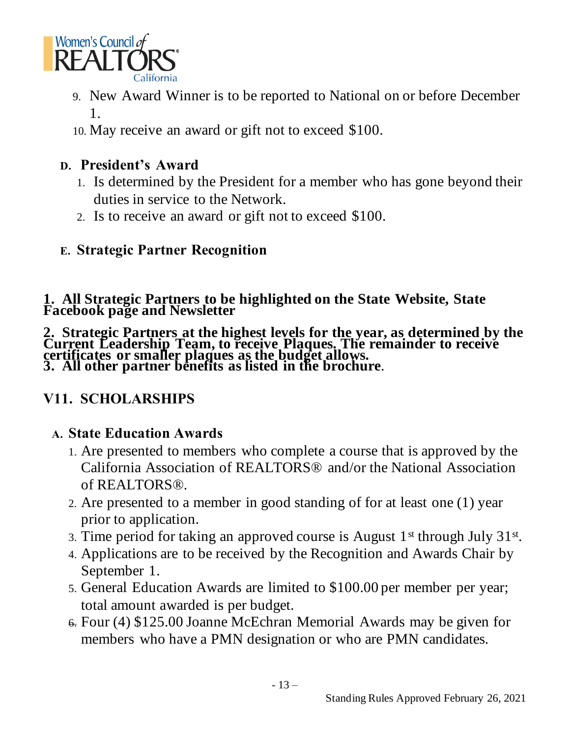

- 9. New Award Winner is to be reported to National on or before December 1.
- 10. May receive an award or gift not to exceed \$100.

#### **D. President's Award**

- 1. Is determined by the President for a member who has gone beyond their duties in service to the Network.
- 2. Is to receive an award or gift not to exceed \$100.

### **E. Strategic Partner Recognition**

#### **1. All Strategic Partners to be highlighted on the State Website, State Facebook page and Newsletter**

**2. Strategic Partners at the highest levels for the year, as determined by the Current Leadership Team, to receive Plaques. The remainder to receive certificates or smaller plaques as the budget allows. 3. All other partner benefits as listed in the brochure**.

### **V11. SCHOLARSHIPS**

#### **A. State Education Awards**

- 1. Are presented to members who complete a course that is approved by the California Association of REALTORS® and/or the National Association of REALTORS®.
- 2. Are presented to a member in good standing of for at least one (1) year prior to application.
- 3. Time period for taking an approved course is August  $1<sup>st</sup>$  through July  $31<sup>st</sup>$ .
- 4. Applications are to be received by the Recognition and Awards Chair by September 1.
- 5. General Education Awards are limited to \$100.00 per member per year; total amount awarded is per budget.
- 6. Four (4) \$125.00 Joanne McEchran Memorial Awards may be given for members who have a PMN designation or who are PMN candidates.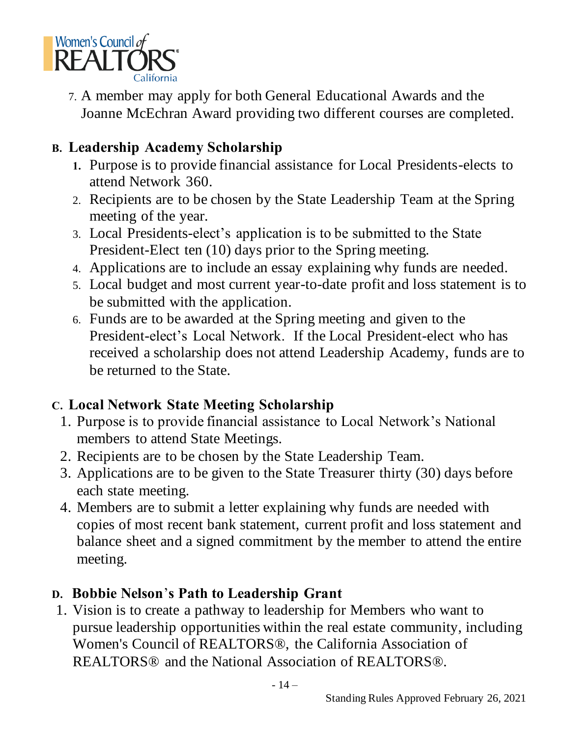

7. A member may apply for both General Educational Awards and the Joanne McEchran Award providing two different courses are completed.

### **B. Leadership Academy Scholarship**

- **1.** Purpose is to provide financial assistance for Local Presidents-elects to attend Network 360.
- 2. Recipients are to be chosen by the State Leadership Team at the Spring meeting of the year.
- 3. Local Presidents-elect's application is to be submitted to the State President-Elect ten (10) days prior to the Spring meeting.
- 4. Applications are to include an essay explaining why funds are needed.
- 5. Local budget and most current year-to-date profit and loss statement is to be submitted with the application.
- 6. Funds are to be awarded at the Spring meeting and given to the President-elect's Local Network. If the Local President-elect who has received a scholarship does not attend Leadership Academy, funds are to be returned to the State.

#### **C. Local Network State Meeting Scholarship**

- 1. Purpose is to provide financial assistance to Local Network's National members to attend State Meetings.
- 2. Recipients are to be chosen by the State Leadership Team.
- 3. Applications are to be given to the State Treasurer thirty (30) days before each state meeting.
- 4. Members are to submit a letter explaining why funds are needed with copies of most recent bank statement, current profit and loss statement and balance sheet and a signed commitment by the member to attend the entire meeting.

#### **D. Bobbie Nelson**'**s Path to Leadership Grant**

1. Vision is to create a pathway to leadership for Members who want to pursue leadership opportunities within the real estate community, including Women's Council of REALTORS®, the California Association of REALTORS® and the National Association of REALTORS®.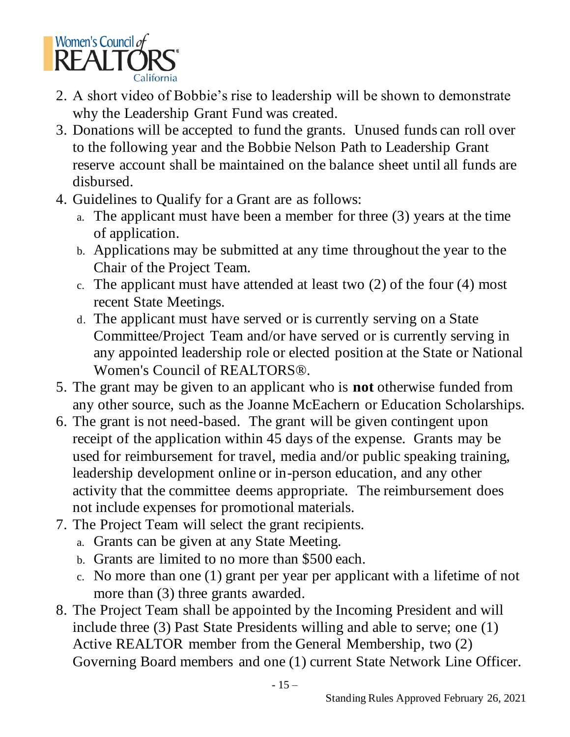

- 2. A short video of Bobbie's rise to leadership will be shown to demonstrate why the Leadership Grant Fund was created.
- 3. Donations will be accepted to fund the grants. Unused funds can roll over to the following year and the Bobbie Nelson Path to Leadership Grant reserve account shall be maintained on the balance sheet until all funds are disbursed.
- 4. Guidelines to Qualify for a Grant are as follows:
	- a. The applicant must have been a member for three (3) years at the time of application.
	- b. Applications may be submitted at any time throughout the year to the Chair of the Project Team.
	- c. The applicant must have attended at least two (2) of the four (4) most recent State Meetings.
	- d. The applicant must have served or is currently serving on a State Committee/Project Team and/or have served or is currently serving in any appointed leadership role or elected position at the State or National Women's Council of REALTORS®.
- 5. The grant may be given to an applicant who is **not** otherwise funded from any other source, such as the Joanne McEachern or Education Scholarships.
- 6. The grant is not need-based. The grant will be given contingent upon receipt of the application within 45 days of the expense. Grants may be used for reimbursement for travel, media and/or public speaking training, leadership development online or in-person education, and any other activity that the committee deems appropriate. The reimbursement does not include expenses for promotional materials.
- 7. The Project Team will select the grant recipients.
	- a. Grants can be given at any State Meeting.
	- b. Grants are limited to no more than \$500 each.
	- c. No more than one (1) grant per year per applicant with a lifetime of not more than (3) three grants awarded.
- 8. The Project Team shall be appointed by the Incoming President and will include three (3) Past State Presidents willing and able to serve; one (1) Active REALTOR member from the General Membership, two (2) Governing Board members and one (1) current State Network Line Officer.